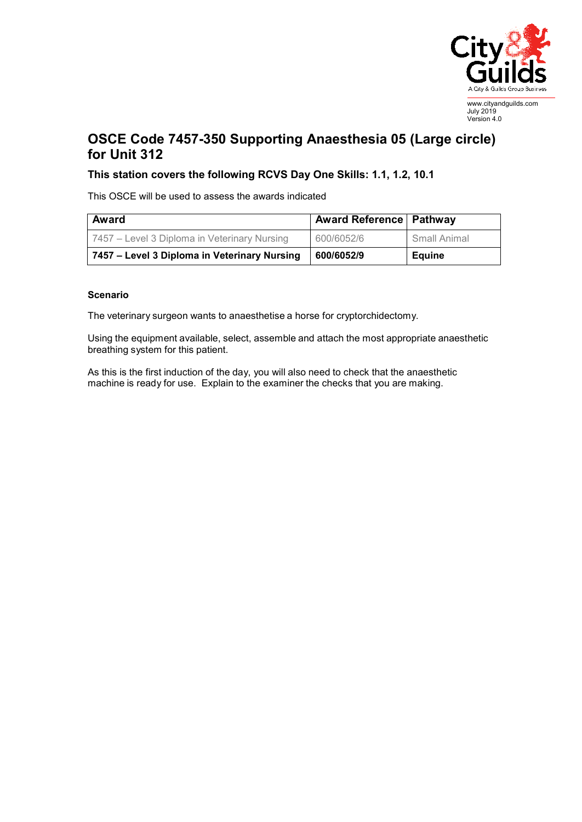

Version 4.0

**OSCE Code 7457-350 Supporting Anaesthesia 05 (Large circle) for Unit 312**

## **This station covers the following RCVS Day One Skills: 1.1, 1.2, 10.1**

This OSCE will be used to assess the awards indicated

| Award                                        | <b>Award Reference   Pathway</b> |               |
|----------------------------------------------|----------------------------------|---------------|
| 7457 – Level 3 Diploma in Veterinary Nursing | 600/6052/6                       | Small Animal  |
| 7457 - Level 3 Diploma in Veterinary Nursing | 600/6052/9                       | <b>Equine</b> |

## **Scenario**

The veterinary surgeon wants to anaesthetise a horse for cryptorchidectomy.

Using the equipment available, select, assemble and attach the most appropriate anaesthetic breathing system for this patient.

As this is the first induction of the day, you will also need to check that the anaesthetic machine is ready for use. Explain to the examiner the checks that you are making.